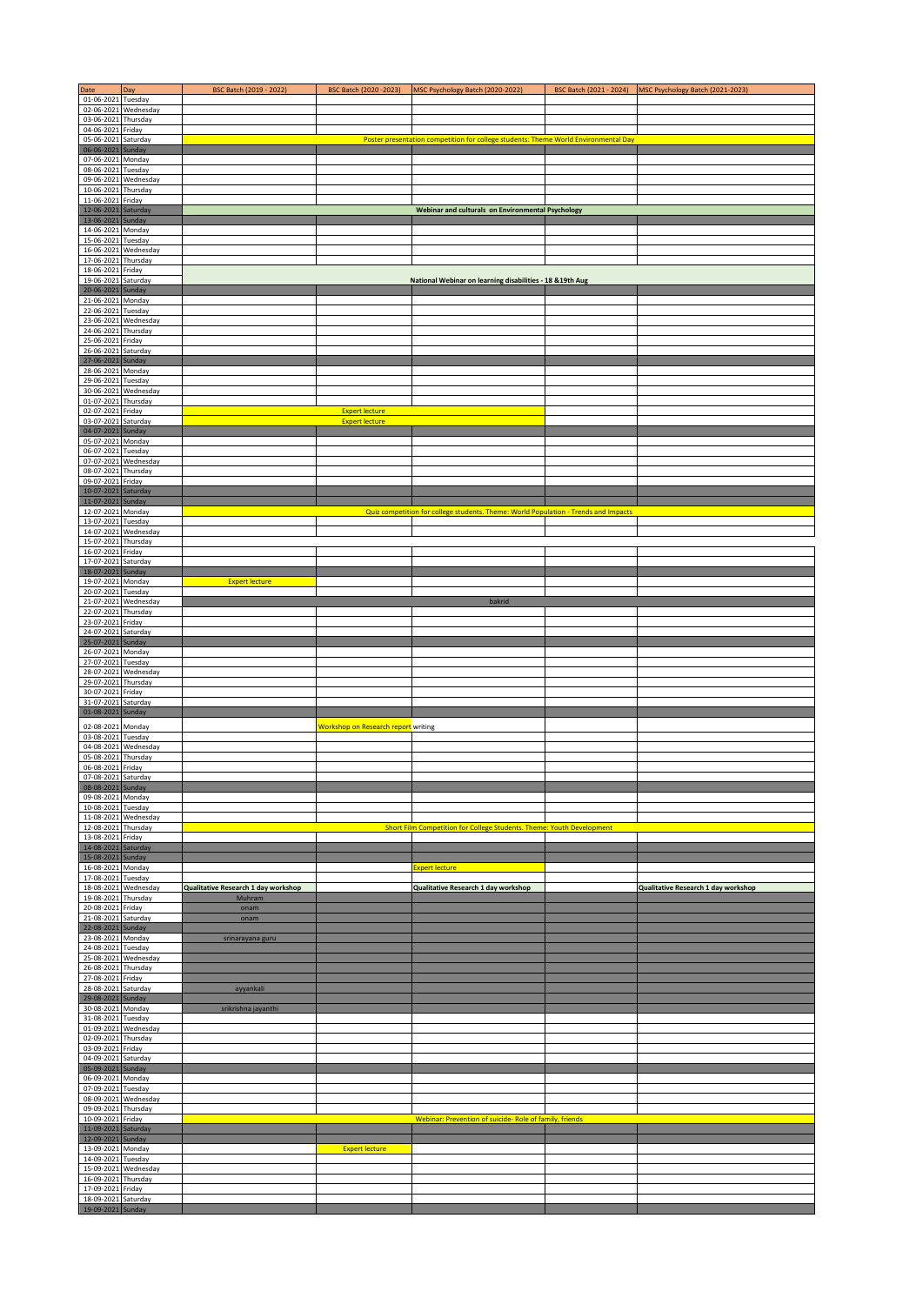| Date                                          | Day       | BSC Batch (2019 - 2022)             | BSC Batch (2020-2023)                      | MSC Psychology Batch (2020-2022)                                                    | BSC Batch (2021 - 2024) | MSC Psychology Batch (2021-2023)    |
|-----------------------------------------------|-----------|-------------------------------------|--------------------------------------------|-------------------------------------------------------------------------------------|-------------------------|-------------------------------------|
| 01-06-2021 Tuesday                            |           |                                     |                                            |                                                                                     |                         |                                     |
| 02-06-2021 Wednesday                          |           |                                     |                                            |                                                                                     |                         |                                     |
| 03-06-2021 Thursday<br>04-06-2021 Friday      |           |                                     |                                            |                                                                                     |                         |                                     |
| 05-06-2021 Saturday                           |           |                                     |                                            | Poster presentation competition for college students: Theme World Environmental Day |                         |                                     |
| 06-06-2021 Sunday                             |           |                                     |                                            |                                                                                     |                         |                                     |
| 07-06-2021 Monday                             |           |                                     |                                            |                                                                                     |                         |                                     |
| 08-06-2021 Tuesday                            |           |                                     |                                            |                                                                                     |                         |                                     |
| 09-06-2021 Wednesday                          |           |                                     |                                            |                                                                                     |                         |                                     |
| 10-06-2021 Thursday<br>11-06-2021 Friday      |           |                                     |                                            |                                                                                     |                         |                                     |
| 12-06-2021 Saturday                           |           |                                     |                                            | <b>Webinar and culturals on Environmental Psychology</b>                            |                         |                                     |
| 13-06-2021                                    | Sunday    |                                     |                                            |                                                                                     |                         |                                     |
| 14-06-2021 Monday                             |           |                                     |                                            |                                                                                     |                         |                                     |
| 15-06-2021 Tuesday                            |           |                                     |                                            |                                                                                     |                         |                                     |
| 16-06-2021 Wednesday                          |           |                                     |                                            |                                                                                     |                         |                                     |
| 17-06-2021 Thursday<br>18-06-2021 Friday      |           |                                     |                                            |                                                                                     |                         |                                     |
| 19-06-2021 Saturday                           |           |                                     |                                            | National Webinar on learning disabilities - 18 & 19th Aug                           |                         |                                     |
| 20-06-2021 Sunday                             |           |                                     |                                            |                                                                                     |                         |                                     |
| 21-06-2021 Monday                             |           |                                     |                                            |                                                                                     |                         |                                     |
| 22-06-2021 Tuesday                            |           |                                     |                                            |                                                                                     |                         |                                     |
| 23-06-2021 Wednesday                          |           |                                     |                                            |                                                                                     |                         |                                     |
| 24-06-2021 Thursday<br>25-06-2021 Friday      |           |                                     |                                            |                                                                                     |                         |                                     |
| 26-06-2021 Saturday                           |           |                                     |                                            |                                                                                     |                         |                                     |
| 27-06-2021 Sunday                             |           |                                     |                                            |                                                                                     |                         |                                     |
| 28-06-2021 Monday                             |           |                                     |                                            |                                                                                     |                         |                                     |
| 29-06-2021 Tuesday                            |           |                                     |                                            |                                                                                     |                         |                                     |
| 30-06-2021 Wednesday                          |           |                                     |                                            |                                                                                     |                         |                                     |
| 01-07-2021 Thursday<br>02-07-2021 Friday      |           |                                     | <b>Expert lecture</b>                      |                                                                                     |                         |                                     |
| 03-07-2021 Saturday                           |           |                                     | <b>Expert lecture</b>                      |                                                                                     |                         |                                     |
| 04-07-2021 Sunday                             |           |                                     |                                            |                                                                                     |                         |                                     |
| 05-07-2021 Monday                             |           |                                     |                                            |                                                                                     |                         |                                     |
| 06-07-2021 Tuesday                            |           |                                     |                                            |                                                                                     |                         |                                     |
| 07-07-2021                                    | Wednesday |                                     |                                            |                                                                                     |                         |                                     |
| 08-07-2021<br>09-07-2021 Friday               | Thursday  |                                     |                                            |                                                                                     |                         |                                     |
| 10-07-2021 Saturday                           |           |                                     |                                            |                                                                                     |                         |                                     |
| 11-07-2021 Sunday                             |           |                                     |                                            |                                                                                     |                         |                                     |
| 12-07-2021 Monday                             |           |                                     |                                            | Quiz competition for college students. Theme: World Population - Trends and Impacts |                         |                                     |
| 13-07-2021 Tuesday                            |           |                                     |                                            |                                                                                     |                         |                                     |
| 14-07-2021 Wednesday<br>15-07-2021 Thursday   |           |                                     |                                            |                                                                                     |                         |                                     |
| 16-07-2021 Friday                             |           |                                     |                                            |                                                                                     |                         |                                     |
| 17-07-2021                                    | Saturday  |                                     |                                            |                                                                                     |                         |                                     |
| 18-07-2021 Sunday                             |           |                                     |                                            |                                                                                     |                         |                                     |
| 19-07-2021 Monday                             |           | <b>Expert lecture</b>               |                                            |                                                                                     |                         |                                     |
| 20-07-2021 Tuesday                            |           |                                     |                                            |                                                                                     |                         |                                     |
| 21-07-2021 Wednesday                          |           |                                     |                                            | bakrid                                                                              |                         |                                     |
| 22-07-2021 Thursday<br>23-07-2021 Friday      |           |                                     |                                            |                                                                                     |                         |                                     |
| 24-07-2021 Saturday                           |           |                                     |                                            |                                                                                     |                         |                                     |
| 25-07-2021                                    | Sunday    |                                     |                                            |                                                                                     |                         |                                     |
| 26-07-2021 Monday                             |           |                                     |                                            |                                                                                     |                         |                                     |
| 27-07-2021 Tuesday                            |           |                                     |                                            |                                                                                     |                         |                                     |
| 28-07-2021 Wednesday                          |           |                                     |                                            |                                                                                     |                         |                                     |
| 29-07-2021 Thursday<br>30-07-2021 Friday      |           |                                     |                                            |                                                                                     |                         |                                     |
| 31-07-2021                                    | Saturday  |                                     |                                            |                                                                                     |                         |                                     |
| 01-08-2021                                    | Sunday    |                                     |                                            |                                                                                     |                         |                                     |
| 02-08-2021                                    | Monday    |                                     | <b>Workshop on Research report</b> writing |                                                                                     |                         |                                     |
| 03-08-2021 Tuesday                            |           |                                     |                                            |                                                                                     |                         |                                     |
| 04-08-2021 Wednesday                          |           |                                     |                                            |                                                                                     |                         |                                     |
| 05-08-2021 Thursday                           |           |                                     |                                            |                                                                                     |                         |                                     |
| 06-08-2021 Friday<br>Г<br>07-08-2021 Saturday |           |                                     |                                            |                                                                                     |                         |                                     |
| 08-08-2021 Sunday                             |           |                                     |                                            |                                                                                     |                         |                                     |
| 09-08-2021 Monday                             |           |                                     |                                            |                                                                                     |                         |                                     |
| 10-08-2021 Tuesday                            |           |                                     |                                            |                                                                                     |                         |                                     |
| 11-08-2021 Wednesday                          |           |                                     |                                            |                                                                                     |                         |                                     |
| 12-08-2021 Thursday                           |           |                                     |                                            | Short Film Competition for College Students. Theme: Youth Development               |                         |                                     |
| 13-08-2021 Friday<br>14-08-2021 Saturday      |           |                                     |                                            |                                                                                     |                         |                                     |
| 15-08-2021 Sunday                             |           |                                     |                                            |                                                                                     |                         |                                     |
| 16-08-2021 Monday                             |           |                                     |                                            | <b>Expert lecture</b>                                                               |                         |                                     |
| 17-08-2021 Tuesday                            |           |                                     |                                            |                                                                                     |                         |                                     |
| 18-08-2021 Wednesday                          |           | Qualitative Research 1 day workshop |                                            | Qualitative Research 1 day workshop                                                 |                         | Qualitative Research 1 day workshop |
| 19-08-2021 Thursday<br>20-08-2021 Friday      |           | Muhram<br>onam                      |                                            |                                                                                     |                         |                                     |
| 21-08-2021 Saturday                           |           | onam                                |                                            |                                                                                     |                         |                                     |
| 22-08-2021 Sunday                             |           |                                     |                                            |                                                                                     |                         |                                     |
| 23-08-2021 Monday                             |           | srinarayana guru                    |                                            |                                                                                     |                         |                                     |
| 24-08-2021 Tuesday                            |           |                                     |                                            |                                                                                     |                         |                                     |
| 25-08-2021 Wednesday<br>26-08-2021 Thursday   |           |                                     |                                            |                                                                                     |                         |                                     |
| 27-08-2021 Friday                             |           |                                     |                                            |                                                                                     |                         |                                     |
| 28-08-2021 Saturday                           |           | ayyankali                           |                                            |                                                                                     |                         |                                     |
| 29-08-2021 Sunday                             |           |                                     |                                            |                                                                                     |                         |                                     |
| 30-08-2021 Monday                             |           | srikrishna jayanthi                 |                                            |                                                                                     |                         |                                     |
| 31-08-2021 Tuesday                            |           |                                     |                                            |                                                                                     |                         |                                     |
| 01-09-2021<br>02-09-2021 Thursday             | Wednesday |                                     |                                            |                                                                                     |                         |                                     |
| 03-09-2021 Friday                             |           |                                     |                                            |                                                                                     |                         |                                     |
| 04-09-2021 Saturday                           |           |                                     |                                            |                                                                                     |                         |                                     |
| 05-09-2021 Sunday                             |           |                                     |                                            |                                                                                     |                         |                                     |
| 06-09-2021 Monday                             |           |                                     |                                            |                                                                                     |                         |                                     |
| 07-09-2021 Tuesday                            |           |                                     |                                            |                                                                                     |                         |                                     |
| 08-09-2021 Wednesday<br>09-09-2021 Thursday   |           |                                     |                                            |                                                                                     |                         |                                     |
| 10-09-2021 Friday                             |           |                                     |                                            | Webinar: Prevention of suicide- Role of family, friends                             |                         |                                     |
| 11-09-2021 Saturday                           |           |                                     |                                            |                                                                                     |                         |                                     |
| 12-09-2021 Sunday                             |           |                                     |                                            |                                                                                     |                         |                                     |
| 13-09-2021 Monday                             |           |                                     | <b>Expert lecture</b>                      |                                                                                     |                         |                                     |
| 14-09-2021 Tuesday<br>15-09-2021 Wednesday    |           |                                     |                                            |                                                                                     |                         |                                     |
| 16-09-2021 Thursday                           |           |                                     |                                            |                                                                                     |                         |                                     |
| 17-09-2021 Friday                             |           |                                     |                                            |                                                                                     |                         |                                     |
| 18-09-2021 Saturday                           |           |                                     |                                            |                                                                                     |                         |                                     |
| 19-09-2021 Sunday                             |           |                                     |                                            |                                                                                     |                         |                                     |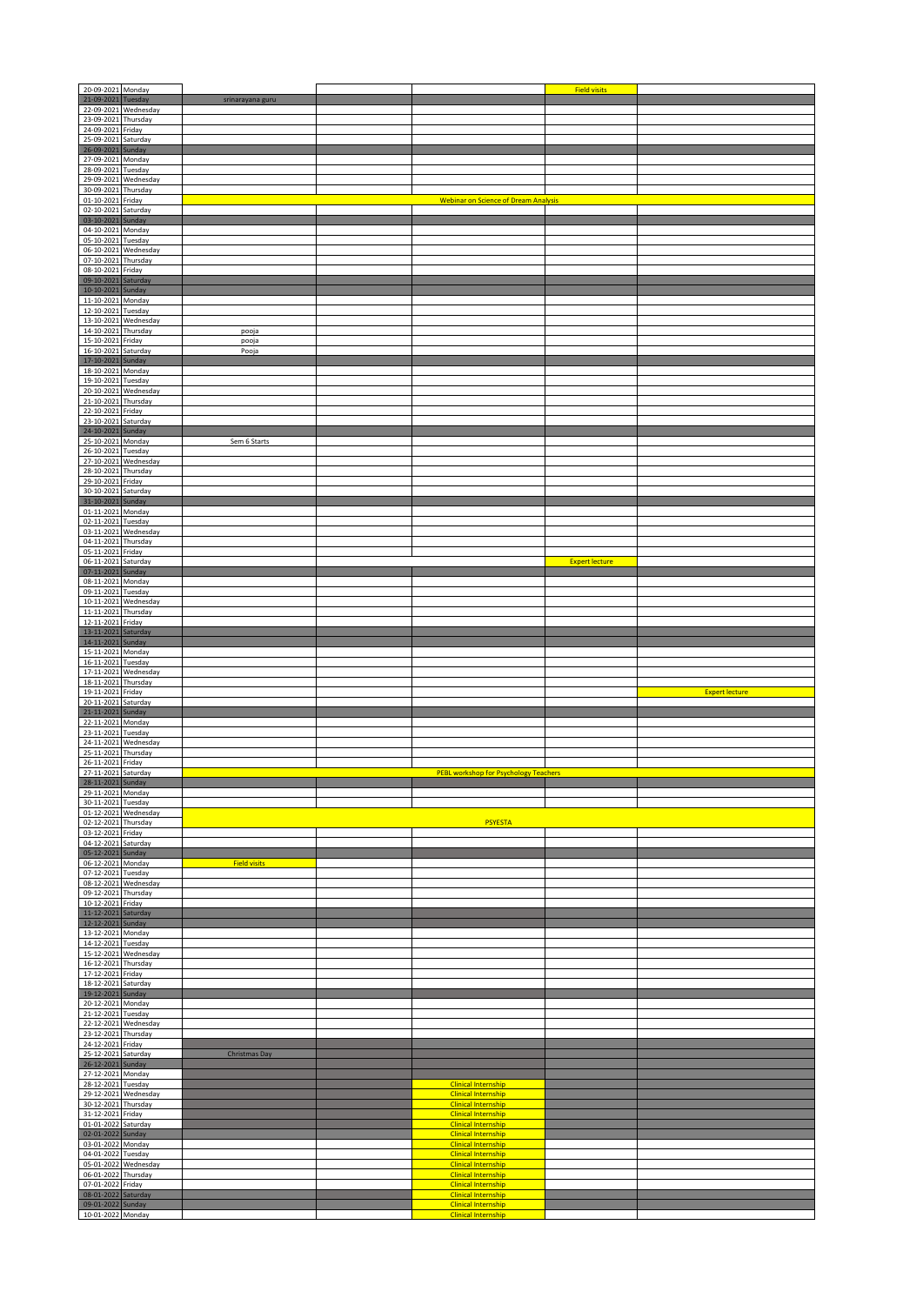| 20-09-2021 Monday                        |                                 |                     |                                                          | <b>Field visits</b>   |                       |
|------------------------------------------|---------------------------------|---------------------|----------------------------------------------------------|-----------------------|-----------------------|
| 21-09-2021 Tuesday                       | 22-09-2021 Wednesday            | srinarayana guru    |                                                          |                       |                       |
| 23-09-2021 Thursday                      |                                 |                     |                                                          |                       |                       |
| 24-09-2021 Friday                        |                                 |                     |                                                          |                       |                       |
| 25-09-2021 Saturday                      |                                 |                     |                                                          |                       |                       |
| 26-09-2021<br>27-09-2021 Monday          | Sunday                          |                     |                                                          |                       |                       |
| 28-09-2021 Tuesday                       |                                 |                     |                                                          |                       |                       |
|                                          | 29-09-2021 Wednesday            |                     |                                                          |                       |                       |
| 30-09-2021 Thursday<br>01-10-2021 Friday |                                 |                     | <b>Webinar on Science of Dream Analysis</b>              |                       |                       |
| 02-10-2021                               | Saturday                        |                     |                                                          |                       |                       |
| 03-10-2021                               | Sunday                          |                     |                                                          |                       |                       |
| 04-10-2021 Monday<br>05-10-2021 Tuesday  |                                 |                     |                                                          |                       |                       |
|                                          | 06-10-2021 Wednesday            |                     |                                                          |                       |                       |
| 07-10-2021 Thursday                      |                                 |                     |                                                          |                       |                       |
| 08-10-2021 Friday                        |                                 |                     |                                                          |                       |                       |
| 09-10-2021 Saturday<br>10-10-2021 Sunday |                                 |                     |                                                          |                       |                       |
| 11-10-2021 Monday                        |                                 |                     |                                                          |                       |                       |
| 12-10-2021 Tuesday                       |                                 |                     |                                                          |                       |                       |
| 14-10-2021 Thursday                      | 13-10-2021 Wednesday            | pooja               |                                                          |                       |                       |
| 15-10-2021 Friday                        |                                 | pooja               |                                                          |                       |                       |
| 16-10-2021                               | Saturday                        | Pooja               |                                                          |                       |                       |
| 17-10-2021<br>18-10-2021 Monday          | Sunday                          |                     |                                                          |                       |                       |
| 19-10-2021 Tuesday                       |                                 |                     |                                                          |                       |                       |
|                                          | 20-10-2021 Wednesday            |                     |                                                          |                       |                       |
| 21-10-2021 Thursday                      |                                 |                     |                                                          |                       |                       |
| 22-10-2021 Friday<br>23-10-2021 Saturday |                                 |                     |                                                          |                       |                       |
| 24-10-2021 Sunday                        |                                 |                     |                                                          |                       |                       |
| 25-10-2021 Monday                        |                                 | Sem 6 Starts        |                                                          |                       |                       |
| 26-10-2021 Tuesday                       | 27-10-2021 Wednesday            |                     |                                                          |                       |                       |
| 28-10-2021                               | Thursday                        |                     |                                                          |                       |                       |
| 29-10-2021                               | Friday                          |                     |                                                          |                       |                       |
| 30-10-2021 Saturday<br>31-10-2021 Sunday |                                 |                     |                                                          |                       |                       |
| 01-11-2021 Monday                        |                                 |                     |                                                          |                       |                       |
| 02-11-2021 Tuesday                       |                                 |                     |                                                          |                       |                       |
| 03-11-2021<br>04-11-2021 Thursday        | Wednesday                       |                     |                                                          |                       |                       |
| 05-11-2021 Friday                        |                                 |                     |                                                          |                       |                       |
| 06-11-2021 Saturday                      |                                 |                     |                                                          | <b>Expert lecture</b> |                       |
| 07-11-2021 Sunday<br>08-11-2021 Monday   |                                 |                     |                                                          |                       |                       |
| 09-11-2021 Tuesday                       |                                 |                     |                                                          |                       |                       |
| 10-11-2021                               | Wednesday                       |                     |                                                          |                       |                       |
| 11-11-2021 Thursday<br>12-11-2021 Friday |                                 |                     |                                                          |                       |                       |
| 13-11-2021 Saturday                      |                                 |                     |                                                          |                       |                       |
| 14-11-2021 Sunday                        |                                 |                     |                                                          |                       |                       |
| 15-11-2021 Monday                        |                                 |                     |                                                          |                       |                       |
| 16-11-2021 Tuesday                       | 17-11-2021 Wednesday            |                     |                                                          |                       |                       |
| 18-11-2021 Thursday                      |                                 |                     |                                                          |                       |                       |
| 19-11-2021 Friday                        |                                 |                     |                                                          |                       | <b>Expert lecture</b> |
| 20-11-2021<br>21-11-2021                 | Saturday<br>Sunday              |                     |                                                          |                       |                       |
| 22-11-2021                               | Monday                          |                     |                                                          |                       |                       |
| 23-11-2021                               | Tuesday                         |                     |                                                          |                       |                       |
| 25-11-2021 Thursday                      | 24-11-2021 Wednesday            |                     |                                                          |                       |                       |
| 26-11-2021 Friday                        |                                 |                     |                                                          |                       |                       |
| 27-11-2021 Saturday                      |                                 |                     | PEBL workshop for Psychology Teachers                    |                       |                       |
| 28-11-2021 Sunday<br>29-11-2021 Monday   |                                 |                     |                                                          |                       |                       |
| 30-11-2021 Tuesday                       |                                 |                     |                                                          |                       |                       |
| 01-12-2021 Wednesday                     |                                 |                     |                                                          |                       |                       |
| 02-12-2021 Thursday<br>03-12-2021 Friday |                                 |                     | <b>PSYESTA</b>                                           |                       |                       |
| 04-12-2021 Saturday                      |                                 |                     |                                                          |                       |                       |
| 05-12-2021                               | Sunday                          |                     |                                                          |                       |                       |
| 06-12-2021 Monday<br>07-12-2021 Tuesday  |                                 | <b>Field visits</b> |                                                          |                       |                       |
|                                          | 08-12-2021 Wednesday            |                     |                                                          |                       |                       |
| 09-12-2021 Thursday                      |                                 |                     |                                                          |                       |                       |
| 10-12-2021 Friday<br>11-12-2021 Saturday |                                 |                     |                                                          |                       |                       |
| 12-12-2021 Sunday                        |                                 |                     |                                                          |                       |                       |
| 13-12-2021 Monday                        |                                 |                     |                                                          |                       |                       |
| 14-12-2021 Tuesday                       | 15-12-2021 Wednesday            |                     |                                                          |                       |                       |
| 16-12-2021 Thursday                      |                                 |                     |                                                          |                       |                       |
| 17-12-2021 Friday                        |                                 |                     |                                                          |                       |                       |
| 18-12-2021 Saturday<br>19-12-2021 Sunday |                                 |                     |                                                          |                       |                       |
| 20-12-2021 Monday                        |                                 |                     |                                                          |                       |                       |
| 21-12-2021 Tuesday                       |                                 |                     |                                                          |                       |                       |
| 23-12-2021 Thursday                      | 22-12-2021 Wednesday            |                     |                                                          |                       |                       |
| 24-12-2021 Friday                        |                                 |                     |                                                          |                       |                       |
| 25-12-2021 Saturday                      |                                 | Christmas Day       |                                                          |                       |                       |
| 26-12-2021 Sunday<br>27-12-2021 Monday   |                                 |                     |                                                          |                       |                       |
| 28-12-2021 Tuesday                       |                                 |                     | <b>Clinical Internship</b>                               |                       |                       |
| 29-12-2021                               | Wednesday                       |                     | <b>Clinical Internship</b>                               |                       |                       |
| 30-12-2021                               | Thursday                        |                     | <b>Clinical Internship</b>                               |                       |                       |
| 31-12-2021<br>01-01-2022                 | Friday<br>Saturday              |                     | <b>Clinical Internship</b><br><b>Clinical Internship</b> |                       |                       |
| 02-01-2022 Sunday                        |                                 |                     | <b>Clinical Internship</b>                               |                       |                       |
| 03-01-2022 Monday<br>04-01-2022          |                                 |                     | <b>Clinical Internship</b><br><b>Clinical Internship</b> |                       |                       |
|                                          | Tuesday<br>05-01-2022 Wednesday |                     | <b>Clinical Internship</b>                               |                       |                       |
| 06-01-2022 Thursday                      |                                 |                     | <b>Clinical Internship</b>                               |                       |                       |
| 07-01-2022 Friday                        |                                 |                     | <b>Clinical Internship</b>                               |                       |                       |
| 08-01-2022 Saturday<br>09-01-2022 Sunday |                                 |                     | <b>Clinical Internship</b><br><b>Clinical Internship</b> |                       |                       |
| 10-01-2022 Monday                        |                                 |                     | <b>Clinical Internship</b>                               |                       |                       |